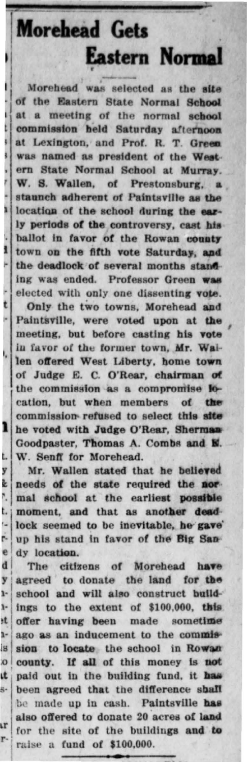**Morehead Gets Eastern Normal** 

B ä

ī

1

×

 $\mathbf{t}$ 

×

í,

ı

i,

y

Ł

f,

i.

i,

j.

e

đ

y

ŀ.

ŀ t

i-

s

 $\overline{0}$ t

ŗ.

r

ķ,

Morehead was selected as the site of the Eastern State Normal School at a meeting of the normal school commission held Saturday afternoon at Lexington, and Prof. R. T. Green, was named as president of the Western State Normal School at Murray. W. S. Wallen, of Prestonsburg, a staunch adherent of Paintsville as the location of the school during the early periods of the controversy, cast his ballot in favor of the Rowan county town on the fifth vote Saturday, and the deadlock of several months standing was ended. Professor Green was elected with only one dissenting vote.

Only the two towns, Morehead and Paintsville, were voted upon at the meeting, but before casting his vote in favor of the former town, Mr. Wailen offered West Liberty, home town of Judge E. C. O'Rear, chairman of the commission as a compromise location, but when members of the commission refused to select this site he voted with Judge O'Rear, Sherman Goodpaster. Thomas A. Combs and N. W. Senff for Morehead.

Mr. Wallen stated that he believed needs of the state required the normal school at the earliest possible moment, and that as another deadlock seemed to be inevitable, he gave up his stand in favor of the Big Sandy location.

The citizens of Morehead have agreed to donate the land for the school and will also construct buildings to the extent of \$100,000, this offer having been made sometime ago as an inducement to the commission to locate the school in Rowan county. If all of this money is not paid out in the building fund, it has been agreed that the difference shall be made up in cash. Paintsville has also offered to donate 20 acres of land for the site of the buildings and to raise a fund of \$100,000.